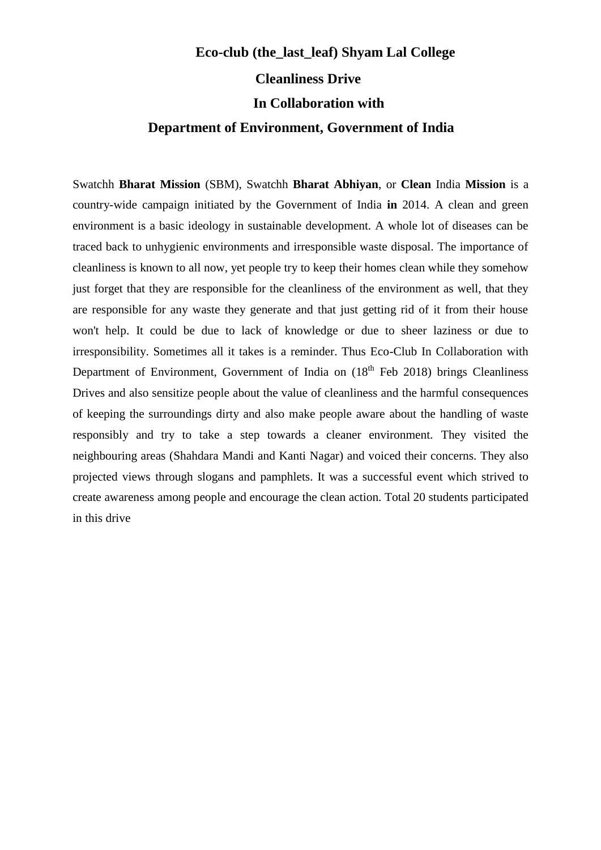## **Cleanliness Drive In Collaboration with Department of Environment, Government of India Eco-club (the\_last\_leaf) Shyam Lal College**

Swatchh **Bharat Mission** (SBM), Swatchh **Bharat Abhiyan**, or **Clean** India **Mission** is a country-wide campaign initiated by the Government of India **in** 2014. A clean and green environment is a basic ideology in sustainable development. A whole lot of diseases can be traced back to unhygienic environments and irresponsible waste disposal. The importance of cleanliness is known to all now, yet people try to keep their homes clean while they somehow just forget that they are responsible for the cleanliness of the environment as well, that they are responsible for any waste they generate and that just getting rid of it from their house won't help. It could be due to lack of knowledge or due to sheer laziness or due to irresponsibility. Sometimes all it takes is a reminder. Thus Eco-Club In Collaboration with Department of Environment, Government of India on  $(18<sup>th</sup>$  Feb 2018) brings Cleanliness Drives and also sensitize people about the value of cleanliness and the harmful consequences of keeping the surroundings dirty and also make people aware about the handling of waste responsibly and try to take a step towards a cleaner environment. They visited the neighbouring areas (Shahdara Mandi and Kanti Nagar) and voiced their concerns. They also projected views through slogans and pamphlets. It was a successful event which strived to create awareness among people and encourage the clean action. Total 20 students participated in this drive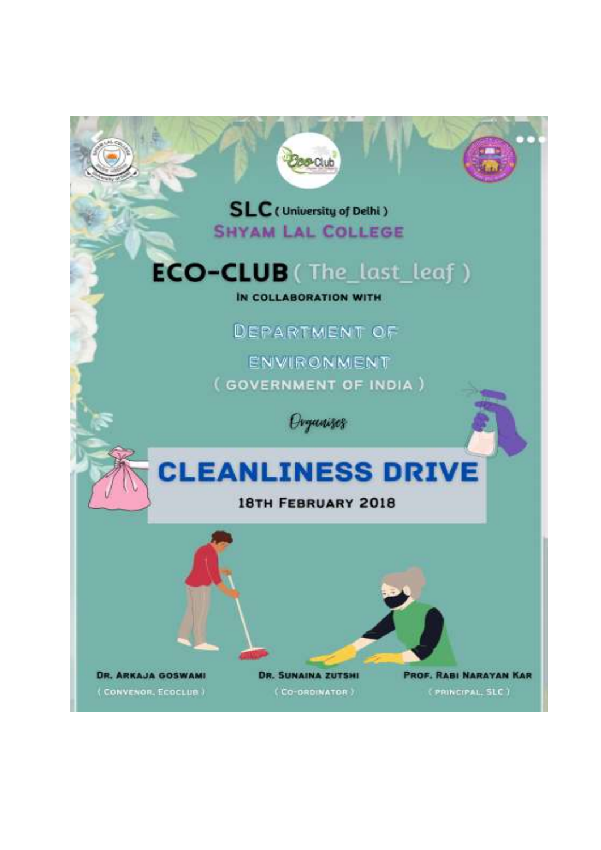